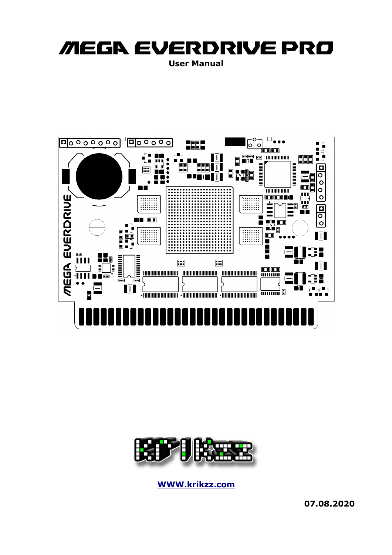# MEGA EVERDRIVE PRO **User Manual**





**[WWW.krikzz.com](http://WWW.krikzz.com/)**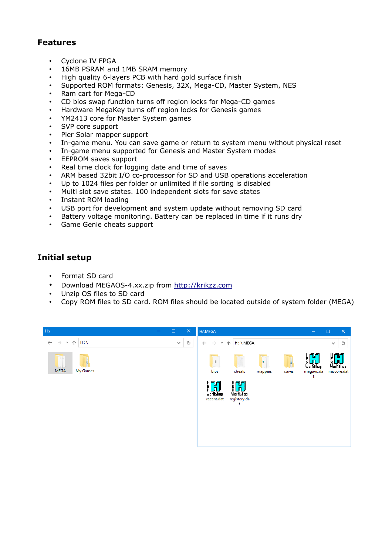# **Features**

- Cyclone IV FPGA
- 16MB PSRAM and 1MB SRAM memory
- High quality 6-layers PCB with hard gold surface finish
- Supported ROM formats: Genesis, 32X, Mega-CD, Master System, NES
- Ram cart for Mega-CD
- CD bios swap function turns off region locks for Mega-CD games
- Hardware MegaKey turns off region locks for Genesis games
- YM2413 core for Master System games
- SVP core support
- Pier Solar mapper support
- In-game menu. You can save game or return to system menu without physical reset
- In-game menu supported for Genesis and Master System modes
- EEPROM saves support
- Real time clock for logging date and time of saves
- ARM based 32bit I/O co-processor for SD and USB operations acceleration
- Up to 1024 files per folder or unlimited if file sorting is disabled
- Multi slot save states. 100 independent slots for save states
- Instant ROM loading
- USB port for development and system update without removing SD card
- Battery voltage monitoring. Battery can be replaced in time if it runs dry
- Game Genie cheats support

# **Initial setup**

- Format SD card
- Download MEGAOS-4.xx.zip from [http://krikzz.com](http://krikzz.com/)
- Unzip OS files to SD card
- Copy ROM files to SD card. ROM files should be located outside of system folder (MEGA)

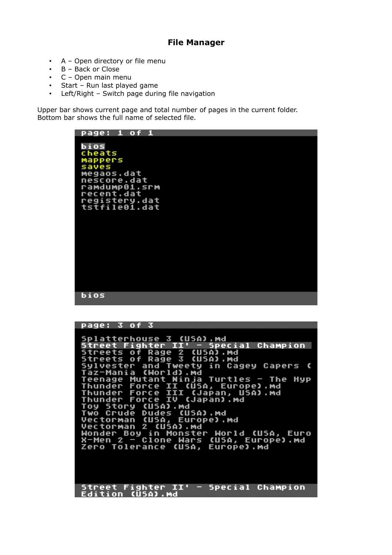## **File Manager**

- A Open directory or file menu
- B Back or Close
- C Open main menu
- Start Run last played game
- Left/Right Switch page during file navigation

Upper bar shows current page and total number of pages in the current folder. Bottom bar shows the full name of selected file.



| page: 3 of 3<br>Splatterhouse 3 (USA).md<br>Street Fighter II' - Special Champion<br>Streets of Rage 2 (USA).md<br>Streets of Rage 3 (USA). Md<br>Sylvester and Tweety in Cagey Capers ( |
|------------------------------------------------------------------------------------------------------------------------------------------------------------------------------------------|
|                                                                                                                                                                                          |
|                                                                                                                                                                                          |
|                                                                                                                                                                                          |
|                                                                                                                                                                                          |
|                                                                                                                                                                                          |
|                                                                                                                                                                                          |
| Taz-Mania (World).md                                                                                                                                                                     |
| Teenage Mutant Ninja Turtles - The Hyp                                                                                                                                                   |
| Thunder Force II (USA, Europe).md                                                                                                                                                        |
| Thunder Force III (Japan, USA).md                                                                                                                                                        |
| Thunder Force IV (Japan).md                                                                                                                                                              |
| Toy Story (USA).md                                                                                                                                                                       |
| Two Crude Dudes (USA).md                                                                                                                                                                 |
| Vectorman (USA, Europe).md                                                                                                                                                               |
| Vectorman 2 (USA).md                                                                                                                                                                     |
| Wonder Boy in Monster World (USA, Euro                                                                                                                                                   |
| X-Men 2 - Clone Wars (USA, Europe).md                                                                                                                                                    |
| Zero Tolerance (USA, Europe).md                                                                                                                                                          |
|                                                                                                                                                                                          |
|                                                                                                                                                                                          |
|                                                                                                                                                                                          |
|                                                                                                                                                                                          |
| Street Fighter II'<br>- Special Champion                                                                                                                                                 |
| Edition (USA).Md                                                                                                                                                                         |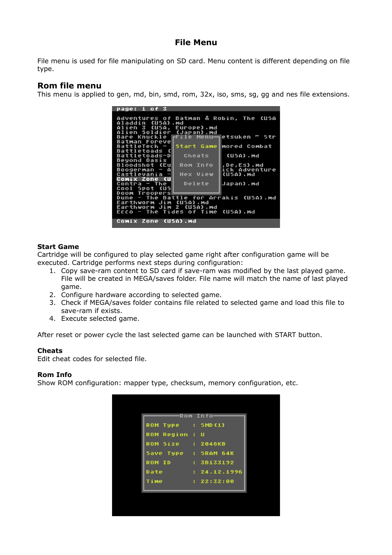## **File Menu**

File menu is used for file manipulating on SD card. Menu content is different depending on file type.

# **Rom file menu**

This menu is applied to gen, md, bin, smd, rom, 32x, iso, sms, sg, gg and nes file extensions.



#### **Start Game**

Cartridge will be configured to play selected game right after configuration game will be executed. Cartridge performs next steps during configuration:

- 1. Copy save-ram content to SD card if save-ram was modified by the last played game. File will be created in MEGA/saves folder. File name will match the name of last played game.
- 2. Configure hardware according to selected game.
- 3. Check if MEGA/saves folder contains file related to selected game and load this file to save-ram if exists.
- 4. Execute selected game.

After reset or power cycle the last selected game can be launched with START button.

## **Cheats**

Edit cheat codes for selected file.

#### **Rom Info**

Show ROM configuration: mapper type, checksum, memory configuration, etc.

|                       | <b>Rom Info</b> |
|-----------------------|-----------------|
| ROM Type : SMD(1)     |                 |
| <b>ROM Region : U</b> |                 |
| <b>ROM</b> Size       | : 2048KB        |
| Save Type : SRAM 64K  |                 |
| ROM ID : 3B133192     |                 |
| Date                  | : 24.12.1996    |
| Time                  | : 22:32:00      |
|                       |                 |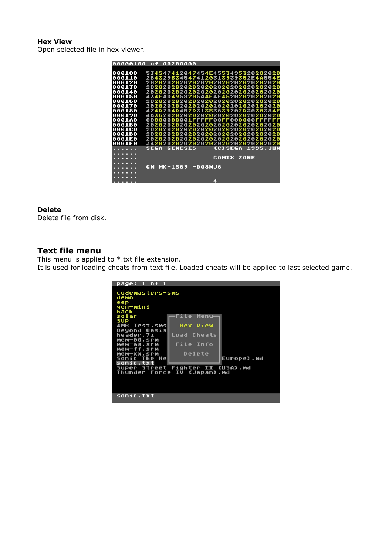#### **Hex View**

Open selected file in hex viewer.



#### **Delete**

Delete file from disk.

## **Text file menu**

This menu is applied to \*.txt file extension. It is used for loading cheats from text file. Loaded cheats will be applied to last selected game.

| page: 1 of 1                                  |                      |  |  |  |
|-----------------------------------------------|----------------------|--|--|--|
| codemasters-sms<br>demo                       |                      |  |  |  |
| eep<br>gen-mini<br>hack                       |                      |  |  |  |
| solar<br>SUP                                  | Menu-<br>File I      |  |  |  |
| 4MB_Test.sms<br>Beyond Oasis                  | <b>Hex View</b>      |  |  |  |
| header.7z<br>mem-00.srm                       | Load Cheats          |  |  |  |
| mem-aa.srm<br>mem-ff.srm                      | File Info            |  |  |  |
| Mem-xx.srm<br>Sonic The He                    | Delete<br>Europe).md |  |  |  |
| sonic.txt<br>Super Street Fighter II (USA).md |                      |  |  |  |
| Thunder Force IV (Japan).md                   |                      |  |  |  |
|                                               |                      |  |  |  |
| sonic.txt                                     |                      |  |  |  |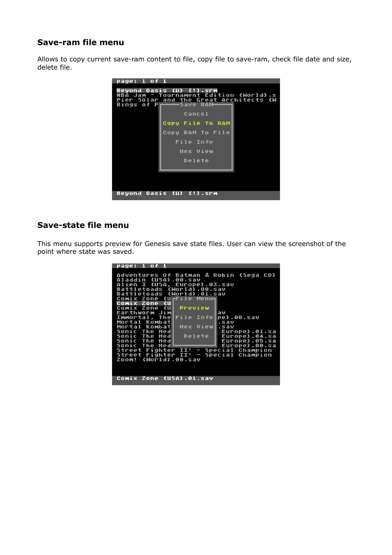# **Save-ram file menu**

Allows to copy current save-ram content to file, copy file to save-ram, check file date and size, delete file.



# **Save-state file menu**

This menu supports preview for Genesis save state files. User can view the screenshot of the point where state was saved.

| <u>page: 1 of 1</u>                          |
|----------------------------------------------|
|                                              |
| Adventures Of Batman & Robin (Sega CD)       |
| Aladdin (USA).00.sav                         |
| Alien 3 (USA, Europe).03.sav                 |
| Battletoads (World).00.sav                   |
| Battletoads (World).01.sav                   |
|                                              |
| Comix Zone (UrFile Menu-                     |
| Comix Zone (U                                |
| Comix Zone (U<br>Preview                     |
| Earthworm Jim<br>lav                         |
| Immortal, The File Infol<br>pe).00.sav       |
| Mortal Kombat<br>.sav                        |
| - Hex View∥,sav<br>Mortal KombatH            |
| Sonic The Hed<br>Europe).01.sa               |
| Delete  <br>Sonic The Hed  <br>Europe).04.sa |
|                                              |
| Sonic The Hed  <br>Europe).05.sa             |
| Sonic The Hed≞<br>Europe).00.sa              |
| Street Fighter II' - Special Champion        |
| Street Fighter II' - Special Champion        |
| Zoom! (World).00.sav                         |
|                                              |
|                                              |
|                                              |
| Comix Zone (USA).01.sav                      |
|                                              |
|                                              |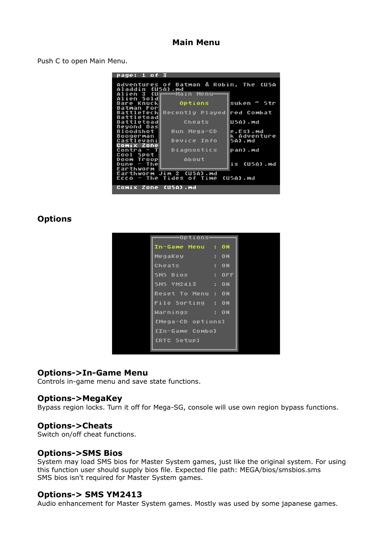## **Main Menu**

Push C to open Main Menu.

| page: 1 of 3             |                                        |             |  |  |
|--------------------------|----------------------------------------|-------------|--|--|
|                          |                                        |             |  |  |
|                          | Adventures of Batman & Robin, The (USA |             |  |  |
| Aladdin (USA).md         |                                        |             |  |  |
| Alien 3 (Uh              | ———Main Menu                           |             |  |  |
| Alien Sold               |                                        |             |  |  |
| Bare Knuck∥              | Options                                | suken ~ Str |  |  |
| Batman Forl              |                                        |             |  |  |
|                          | BattleTech Recently Played             | red Combat  |  |  |
| Battletoad               |                                        |             |  |  |
| Battletoad               | Cheats                                 | USA).md     |  |  |
| Beyond Oas               |                                        |             |  |  |
| Bloodshot                | Run Mega-CD                            | e,Es).md    |  |  |
| Boogerman                |                                        | k Adventure |  |  |
| CastlevaniL              | <b>Device Info</b>                     | 5A).Md      |  |  |
| Comix Zone               |                                        |             |  |  |
| Contra - TH              | Diagnostics                            | pan).md     |  |  |
| Cool Spot                |                                        |             |  |  |
| Doom Troop               | <b>About</b>                           |             |  |  |
| – Thel<br>Dune           |                                        | is (USA).md |  |  |
| Earthworm                |                                        |             |  |  |
| Earthworm Jim 2 (USA).md |                                        |             |  |  |
|                          | Ecco - The Tides of Time (USA).md      |             |  |  |
|                          |                                        |             |  |  |
| Comix Zone (USA).md      |                                        |             |  |  |

## **Options**

| Options                   |    |               |  |
|---------------------------|----|---------------|--|
| In-Game Menu : ON         |    |               |  |
| MegaKey <b>compared</b>   | F. | ON            |  |
| Cheats                    | F. | ON            |  |
| SMS Bios <b>SMS</b>       |    | $\cdot$ : OFF |  |
| <b>SMS YM2413 : ON</b>    |    |               |  |
| <b>Reset To Menu : ON</b> |    |               |  |
| File Sorting : ON         |    |               |  |
| Warnings : ON             |    |               |  |
| [Mega-CD options]         |    |               |  |
| [In-Game Combo]           |    |               |  |
| [RTC Setup]               |    |               |  |
|                           |    |               |  |

## **Options->In-Game Menu**

Controls in-game menu and save state functions.

## **Options->MegaKey**

Bypass region locks. Turn it off for Mega-SG, console will use own region bypass functions.

## **Options->Cheats**

Switch on/off cheat functions.

## **Options->SMS Bios**

System may load SMS bios for Master System games, just like the original system. For using this function user should supply bios file. Expected file path: MEGA/bios/smsbios.sms SMS bios isn't required for Master System games.

## **Options-> SMS YM2413**

Audio enhancement for Master System games. Mostly was used by some japanese games.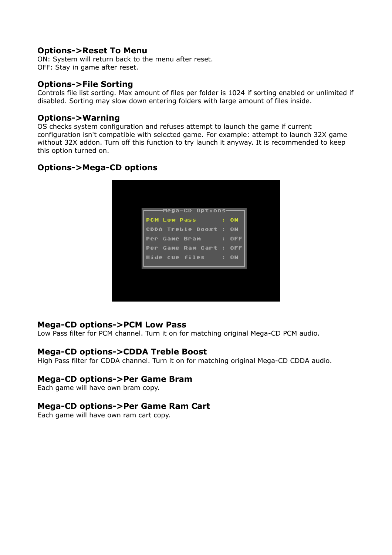## **Options->Reset To Menu**

ON: System will return back to the menu after reset. OFF: Stay in game after reset.

## **Options->File Sorting**

Controls file list sorting. Max amount of files per folder is 1024 if sorting enabled or unlimited if disabled. Sorting may slow down entering folders with large amount of files inside.

## **Options->Warning**

OS checks system configuration and refuses attempt to launch the game if current configuration isn't compatible with selected game. For example: attempt to launch 32X game without 32X addon. Turn off this function to try launch it anyway. It is recommended to keep this option turned on.

# **Options->Mega-CD options**

| ——Mega-CD Options——<br><b>PCM Low Pass : ON</b><br><b>CDDA Treble Boost : ON</b><br>Per Game Bram      : OFF<br>Per Game Ram Cart : OFF<br>Hide cue files : ON |  |
|----------------------------------------------------------------------------------------------------------------------------------------------------------------|--|
|                                                                                                                                                                |  |
|                                                                                                                                                                |  |
|                                                                                                                                                                |  |
|                                                                                                                                                                |  |
|                                                                                                                                                                |  |
|                                                                                                                                                                |  |
|                                                                                                                                                                |  |

## **Mega-CD options->PCM Low Pass**

Low Pass filter for PCM channel. Turn it on for matching original Mega-CD PCM audio.

## **Mega-CD options->CDDA Treble Boost**

High Pass filter for CDDA channel. Turn it on for matching original Mega-CD CDDA audio.

## **Mega-CD options->Per Game Bram**

Each game will have own bram copy.

## **Mega-CD options->Per Game Ram Cart**

Each game will have own ram cart copy.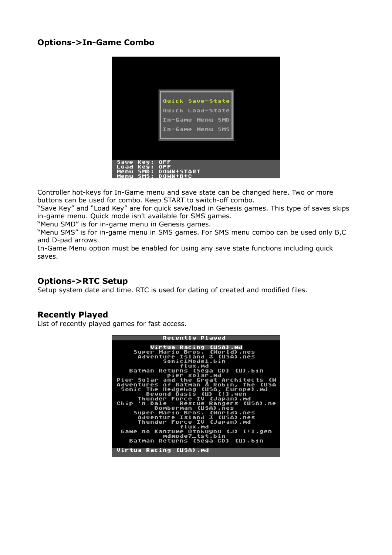# **Options->In-Game Combo**

|                                                                          | Quick Save-State<br>Quick Load-State<br>In-Game Menu SMD<br>In-Game Menu SMS |
|--------------------------------------------------------------------------|------------------------------------------------------------------------------|
| <b>Save</b><br>Key:<br>Key:<br>Load<br>SMD:<br>Menu<br>ς<br>Menu<br>13 S | <b>OFF</b><br><b>OFF</b><br><b>DOWN+START</b><br>DOWN+B+C                    |

Controller hot-keys for In-Game menu and save state can be changed here. Two or more buttons can be used for combo. Keep START to switch-off combo.

"Save Key" and "Load Key" are for quick save/load in Genesis games. This type of saves skips in-game menu. Quick mode isn't available for SMS games.

"Menu SMD" is for in-game menu in Genesis games.

"Menu SMS" is for in-game menu in SMS games. For SMS menu combo can be used only B,C and D-pad arrows.

In-Game Menu option must be enabled for using any save state functions including quick saves.

## **Options->RTC Setup**

Setup system date and time. RTC is used for dating of created and modified files.

## **Recently Played**

List of recently played games for fast access.

**Recently Played** OHT ros.<br>land riisas cinverioru<br>flux.md<br>ns (Sega CD) (U).bin<br>r solar.md<br>the Great Architects **Batman Re** turns ,<br>Architects<br>Dbin, The C Solar Pier and eat<br>& Ro of Batma<br>Hedgehog<br>Dnd Oasis<br>Pr Force<br>Pr - Resc Bà Robi tman in, The CU<br>Europe).md lventures<br>¡onic The (บิรค์,<br>(บว เ **Beyond** .gen<br>n).md Beyor<br>Thunder<br>Dale тu Japan) Chip ue Ranger<br>(USA).nes CUSA).ne **Sup** 3 (USA)<br>(Japan) waven.u<br>Thunder ΪŬ Forc е inunger rurte IV (Japan).mg<br>Game no Kanzume Otokuyou (J) [!].gen<br>Batman Returns (Sega CD) (U).bin Virtua Racing (USA).md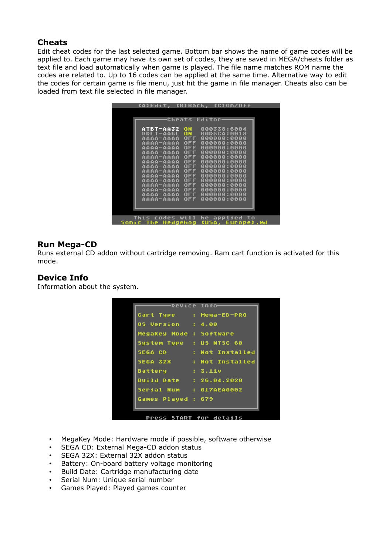# **Cheats**

Edit cheat codes for the last selected game. Bottom bar shows the name of game codes will be applied to. Each game may have its own set of codes, they are saved in MEGA/cheats folder as text file and load automatically when game is played. The file name matches ROM name the codes are related to. Up to 16 codes can be applied at the same time. Alternative way to edit the codes for certain game is file menu, just hit the game in file manager. Cheats also can be loaded from text file selected in file manager.

| (A)Edit, (B)Back, (C)On/Off |                          |                            |            |
|-----------------------------|--------------------------|----------------------------|------------|
|                             |                          |                            |            |
|                             |                          |                            |            |
|                             | Cheats Editor-           |                            |            |
| ATBT-AA32                   | ON                       | 000338:6004                |            |
| DDLT-AAGL                   | ON                       | 00D5CA:0018                |            |
| aaaa-aaaa                   | <b>OFF</b>               | 000000:0000                |            |
| aaaa-aaaa                   | <b>OFF</b>               | 000000:0000                |            |
| AAAA-AAAA                   | <b>OFF</b>               | 000000:0000                |            |
| <b>AAAA-AAAA</b>            | <b>OFF</b>               | 000000:0000                |            |
| aaaa-aaaa                   | <b>OFF</b>               | 000000:0000                |            |
| <b>AAAA-AAAA</b>            | <b>OFF</b>               | 000000:0000                |            |
| <b>aaaa-aaaa</b>            | <b>OFF</b>               | 000000:0000                |            |
| aaaa-aaaa                   | <b>OFF</b>               | 000000:0000                |            |
| aaaa-aaaa                   | <b>OFF</b>               | 000000:0000                |            |
| aaaa-aaaa<br>aaaa-aaaa      | <b>OFF</b><br><b>OFF</b> | 000000:0000<br>000000:0000 |            |
| aaaa-aaaa                   | <b>OFF</b>               | 000000:0000                |            |
| AAAA-AAAA                   | <b>OFF</b>               | 000000:0000                |            |
| aaaa-aaaa                   | <b>OFF</b>               | 000000:0000                |            |
|                             |                          |                            |            |
|                             |                          |                            |            |
|                             |                          |                            |            |
| This codes will             |                          | be applied                 | to         |
| Hedgehog<br>The<br>Sonic    |                          | CUSA.                      | Europe).md |

## **Run Mega-CD**

Runs external CD addon without cartridge removing. Ram cart function is activated for this mode.

## **Device Info**

Information about the system.

|                          | -Device Info-            |
|--------------------------|--------------------------|
| Cart Type : Mega-ED-PRO  |                          |
| <b>05 Version : 4.00</b> |                          |
| MegaKey Mode : Software  |                          |
| System Type : US NTSC 60 |                          |
|                          | SEGA CD : Not Installed  |
|                          | SEGA 32X : Not Installed |
| Battery : 3.11v          |                          |
| Build Date : 26.04.2020  |                          |
| Serial Num : 017AEA0002  |                          |
| Games Played : 679       |                          |
|                          |                          |

- MegaKey Mode: Hardware mode if possible, software otherwise
- SEGA CD: External Mega-CD addon status
- SEGA 32X: External 32X addon status
- Battery: On-board battery voltage monitoring
- Build Date: Cartridge manufacturing date
- Serial Num: Unique serial number
- Games Played: Played games counter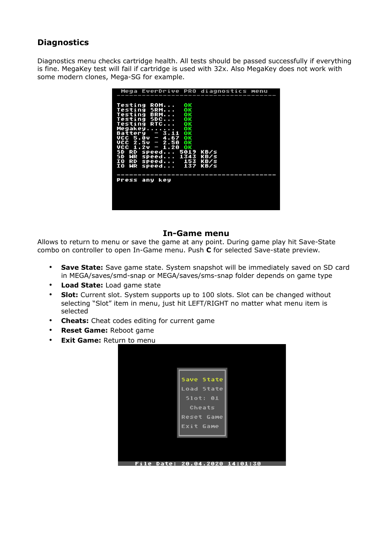# **Diagnostics**

Diagnostics menu checks cartridge health. All tests should be passed successfully if everything is fine. MegaKey test will fail if cartridge is used with 32x. Also MegaKey does not work with some modern clones, Mega-SG for example.

| Mega EverDrive PRO diagnostics menu                                                                                                                                                                                                                                                                           |                      |
|---------------------------------------------------------------------------------------------------------------------------------------------------------------------------------------------------------------------------------------------------------------------------------------------------------------|----------------------|
| Testing ROM<br>ок<br>OΚ<br>Testing SRM<br>Testing BRM<br>ок<br>Testing SDC<br>ок<br>Testing RTC<br>oк<br>Megakey<br>ок<br>$-3.11$ OK<br>Battery<br>$UCC$ 5.0v $-$ 4.67 OK<br>VCC 2.5v - 2.50 OK<br>$UCC_1.20 = 1.20$ ok<br>SD RD speed 5019<br>SD WR speed 1343<br>RD speed 153<br>ΙO<br>IO WR speed 137 KB/s | KB/s<br>KB/s<br>KB/s |
| Press any key                                                                                                                                                                                                                                                                                                 |                      |

#### **In-Game menu**

Allows to return to menu or save the game at any point. During game play hit Save-State combo on controller to open In-Game menu. Push **C** for selected Save-state preview.

- **Save State:** Save game state. System snapshot will be immediately saved on SD card in MEGA/saves/smd-snap or MEGA/saves/sms-snap folder depends on game type
- **Load State:** Load game state
- **Slot:** Current slot. System supports up to 100 slots. Slot can be changed without selecting "Slot" item in menu, just hit LEFT/RIGHT no matter what menu item is selected
- **Cheats:** Cheat codes editing for current game
- **Reset Game:** Reboot game
- **Exit Game:** Return to menu

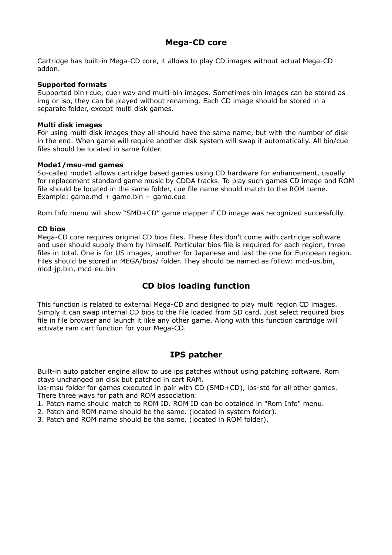# **Mega-CD core**

Cartridge has built-in Mega-CD core, it allows to play CD images without actual Mega-CD addon.

#### **Supported formats**

Supported bin+cue, cue+wav and multi-bin images. Sometimes bin images can be stored as img or iso, they can be played without renaming. Each CD image should be stored in a separate folder, except multi disk games.

#### **Multi disk images**

For using multi disk images they all should have the same name, but with the number of disk in the end. When game will require another disk system will swap it automatically. All bin/cue files should be located in same folder.

#### **Mode1/msu-md games**

So-called mode1 allows cartridge based games using CD hardware for enhancement, usually for replacement standard game music by CDDA tracks. To play such games CD image and ROM file should be located in the same folder, cue file name should match to the ROM name. Example:  $qame.md + qame.bin + qame.cue$ 

Rom Info menu will show "SMD+CD" game mapper if CD image was recognized successfully.

#### **CD bios**

Mega-CD core requires original CD bios files. These files don't come with cartridge software and user should supply them by himself. Particular bios file is required for each region, three files in total. One is for US images, another for Japanese and last the one for European region. Files should be stored in MEGA/bios/ folder. They should be named as follow: mcd-us.bin, mcd-jp.bin, mcd-eu.bin

# **CD bios loading function**

This function is related to external Mega-CD and designed to play multi region CD images. Simply it can swap internal CD bios to the file loaded from SD card. Just select required bios file in file browser and launch it like any other game. Along with this function cartridge will activate ram cart function for your Mega-CD.

## **IPS patcher**

Built-in auto patcher engine allow to use ips patches without using patching software. Rom stays unchanged on disk but patched in cart RAM.

ips-msu folder for games executed in pair with CD (SMD+CD), ips-std for all other games. There three ways for path and ROM association:

1. Patch name should match to ROM ID. ROM ID can be obtained in "Rom Info" menu.

2. Patch and ROM name should be the same. (located in system folder).

3. Patch and ROM name should be the same. (located in ROM folder).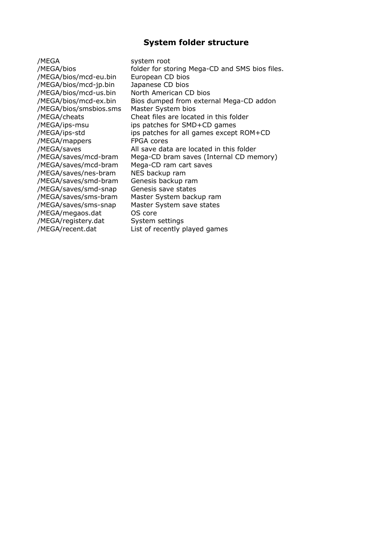## **System folder structure**

/MEGA system root /MEGA/bios/mcd-eu.bin European CD bios /MEGA/bios/mcd-jp.bin Japanese CD bios /MEGA/bios/mcd-us.bin North American CD bios /MEGA/bios/smsbios.sms Master System bios /MEGA/mappers FPGA cores /MEGA/saves/mcd-bram Mega-CD ram cart saves /MEGA/saves/nes-bram NES backup ram /MEGA/saves/smd-bram Genesis backup ram /MEGA/saves/smd-snap Genesis save states /MEGA/saves/sms-bram Master System backup ram /MEGA/saves/sms-snap Master System save states /MEGA/megaos.dat OS core /MEGA/registery.dat System settings

/MEGA/bios folder for storing Mega-CD and SMS bios files. /MEGA/bios/mcd-ex.bin Bios dumped from external Mega-CD addon /MEGA/cheats Cheat files are located in this folder /MEGA/ips-msu ips patches for SMD+CD games /MEGA/ips-std ips patches for all games except ROM+CD /MEGA/saves All save data are located in this folder /MEGA/saves/mcd-bram Mega-CD bram saves (Internal CD memory) /MEGA/recent.dat List of recently played games